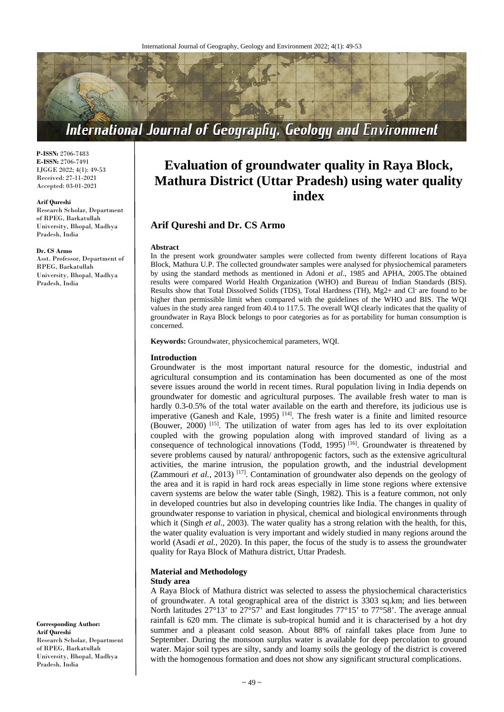

**P-ISSN:** 2706-7483 **E-ISSN:** 2706-7491 IJGGE 2022; 4(1): 49-53 Received: 27-11-2021 Accepted: 03-01-2021

#### **Arif Qureshi**

Research Scholar, Department of RPEG, Barkatullah University, Bhopal, Madhya Pradesh, India

#### **Dr. CS Armo**

Asst. Professor, Department of RPEG, Barkatullah University, Bhopal, Madhya Pradesh, India

# **Evaluation of groundwater quality in Raya Block, Mathura District (Uttar Pradesh) using water quality**

**index**

# **Arif Qureshi and Dr. CS Armo**

#### **Abstract**

In the present work groundwater samples were collected from twenty different locations of Raya Block, Mathura U.P. The collected groundwater samples were analysed for physiochemical parameters by using the standard methods as mentioned in Adoni *et al.,* 1985 and APHA, 2005.The obtained results were compared World Health Organization (WHO) and Bureau of Indian Standards (BIS). Results show that Total Dissolved Solids (TDS), Total Hardness (TH), Mg2+ and Cl- are found to be higher than permissible limit when compared with the guidelines of the WHO and BIS. The WQI values in the study area ranged from 40.4 to 117.5. The overall WQI clearly indicates that the quality of groundwater in Raya Block belongs to poor categories as for as portability for human consumption is concerned.

**Keywords:** Groundwater, physicochemical parameters, WQI.

#### **Introduction**

Groundwater is the most important natural resource for the domestic, industrial and agricultural consumption and its contamination has been documented as one of the most severe issues around the world in recent times. Rural population living in India depends on groundwater for domestic and agricultural purposes. The available fresh water to man is hardly 0.3-0.5% of the total water available on the earth and therefore, its judicious use is imperative (Ganesh and Kale, 1995)  $[14]$ . The fresh water is a finite and limited resource (Bouwer, 2000) [15] . The utilization of water from ages has led to its over exploitation coupled with the growing population along with improved standard of living as a consequence of technological innovations (Todd, 1995)<sup>[16]</sup>. Groundwater is threatened by severe problems caused by natural/ anthropogenic factors, such as the extensive agricultural activities, the marine intrusion, the population growth, and the industrial development (Zammouri et al., 2013)<sup>[17]</sup>. Contamination of groundwater also depends on the geology of the area and it is rapid in hard rock areas especially in lime stone regions where extensive cavern systems are below the water table (Singh, 1982). This is a feature common, not only in developed countries but also in developing countries like India. The changes in quality of groundwater response to variation in physical, chemical and biological environments through which it (Singh *et al.*, 2003). The water quality has a strong relation with the health, for this, the water quality evaluation is very important and widely studied in many regions around the world (Asadi *et al.*, 2020). In this paper, the focus of the study is to assess the groundwater quality for Raya Block of Mathura district, Uttar Pradesh.

#### **Material and Methodology Study area**

A Raya Block of Mathura district was selected to assess the physiochemical characteristics of groundwater. A total geographical area of the district is 3303 sq.km; and lies between North latitudes 27°13' to 27°57' and East longitudes 77°15' to 77°58'. The average annual rainfall is 620 mm. The climate is sub-tropical humid and it is characterised by a hot dry summer and a pleasant cold season. About 88% of rainfall takes place from June to September. During the monsoon surplus water is available for deep percolation to ground water. Major soil types are silty, sandy and loamy soils the geology of the district is covered with the homogenous formation and does not show any significant structural complications.

**Corresponding Author: Arif Qureshi** Research Scholar, Department of RPEG, Barkatullah University, Bhopal, Madhya Pradesh, India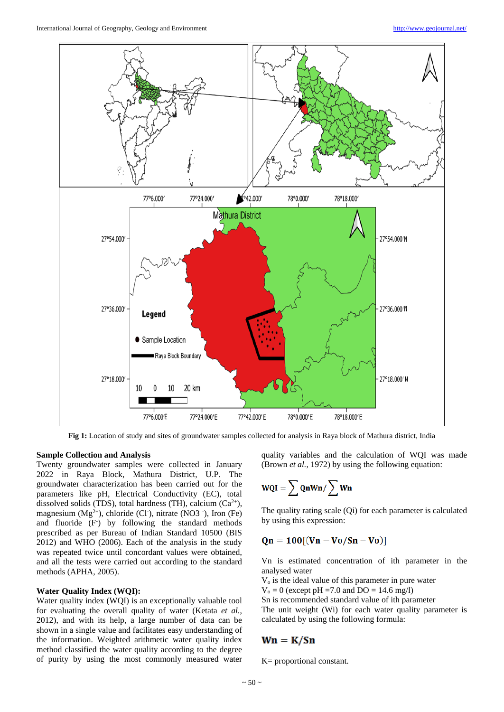

**Fig 1:** Location of study and sites of groundwater samples collected for analysis in Raya block of Mathura district, India

#### **Sample Collection and Analysis**

Twenty groundwater samples were collected in January 2022 in Raya Block, Mathura District, U.P. The groundwater characterization has been carried out for the parameters like pH, Electrical Conductivity (EC), total dissolved solids (TDS), total hardness (TH), calcium  $(Ca^{2+})$ , magnesium  $(Mg^{2+})$ , chloride (Cl<sup>-</sup>), nitrate (NO3<sup>-</sup>), Iron (Fe) and fluoride (F) by following the standard methods prescribed as per Bureau of Indian Standard 10500 (BIS 2012) and WHO (2006). Each of the analysis in the study was repeated twice until concordant values were obtained, and all the tests were carried out according to the standard methods (APHA, 2005).

### **Water Quality Index (WQI):**

Water quality index (WQI) is an exceptionally valuable tool for evaluating the overall quality of water (Ketata *et al.*, 2012), and with its help, a large number of data can be shown in a single value and facilitates easy understanding of the information. Weighted arithmetic water quality index method classified the water quality according to the degree of purity by using the most commonly measured water quality variables and the calculation of WQI was made (Brown *et al.,* 1972) by using the following equation:

$$
WQI = \sum QnWn / \sum Wn
$$

The quality rating scale (Qi) for each parameter is calculated by using this expression:

# $Qn = 100[(Vn - Vo/Sn - Vo)]$

Vn is estimated concentration of ith parameter in the analysed water

 $V<sub>o</sub>$  is the ideal value of this parameter in pure water

 $V_0 = 0$  (except pH = 7.0 and DO = 14.6 mg/l)

Sn is recommended standard value of ith parameter The unit weight (Wi) for each water quality parameter is calculated by using the following formula:

# $Wn = K/Sn$

K= proportional constant.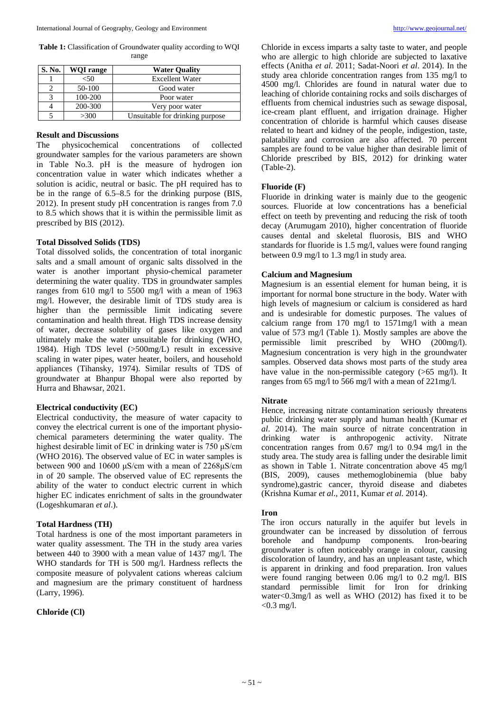**Table 1:** Classification of Groundwater quality according to WQI range

| S. No. | <b>WOI</b> range | <b>Water Quality</b>            |
|--------|------------------|---------------------------------|
|        | $<$ 50           | <b>Excellent Water</b>          |
|        | 50-100           | Good water                      |
|        | 100-200          | Poor water                      |
|        | 200-300          | Very poor water                 |
|        | >300             | Unsuitable for drinking purpose |

## **Result and Discussions**

The physicochemical concentrations of collected groundwater samples for the various parameters are shown in Table No.3. pH is the measure of hydrogen ion concentration value in water which indicates whether a solution is acidic, neutral or basic. The pH required has to be in the range of 6.5–8.5 for the drinking purpose (BIS, 2012). In present study pH concentration is ranges from 7.0 to 8.5 which shows that it is within the permissible limit as prescribed by BIS (2012).

#### **Total Dissolved Solids (TDS)**

Total dissolved solids, the concentration of total inorganic salts and a small amount of organic salts dissolved in the water is another important physio-chemical parameter determining the water quality. TDS in groundwater samples ranges from 610 mg/l to 5500 mg/l with a mean of 1963 mg/l. However, the desirable limit of TDS study area is higher than the permissible limit indicating severe contamination and health threat. High TDS increase density of water, decrease solubility of gases like oxygen and ultimately make the water unsuitable for drinking (WHO, 1984). High TDS level (>500mg/L) result in excessive scaling in water pipes, water heater, boilers, and household appliances (Tihansky, 1974). Similar results of TDS of groundwater at Bhanpur Bhopal were also reported by Hurra and Bhawsar, 2021.

#### **Electrical conductivity (EC)**

Electrical conductivity, the measure of water capacity to convey the electrical current is one of the important physiochemical parameters determining the water quality. The highest desirable limit of EC in drinking water is 750 μS/cm (WHO 2016). The observed value of EC in water samples is between 900 and 10600 μS/cm with a mean of 2268μS/cm in of 20 sample. The observed value of EC represents the ability of the water to conduct electric current in which higher EC indicates enrichment of salts in the groundwater (Logeshkumaran *et al*.).

## **Total Hardness (TH)**

Total hardness is one of the most important parameters in water quality assessment. The TH in the study area varies between 440 to 3900 with a mean value of 1437 mg/l. The WHO standards for TH is 500 mg/l. Hardness reflects the composite measure of polyvalent cations whereas calcium and magnesium are the primary constituent of hardness (Larry, 1996).

### **Chloride (Cl)**

Chloride in excess imparts a salty taste to water, and people who are allergic to high chloride are subjected to laxative effects (Anitha *et al*. 2011; Sadat-Noori *et al*. 2014). In the study area chloride concentration ranges from 135 mg/l to 4500 mg/l. Chlorides are found in natural water due to leaching of chloride containing rocks and soils discharges of effluents from chemical industries such as sewage disposal, ice-cream plant effluent, and irrigation drainage. Higher concentration of chloride is harmful which causes disease related to heart and kidney of the people, indigestion, taste, palatability and corrosion are also affected. 70 percent samples are found to be value higher than desirable limit of Chloride prescribed by BIS, 2012) for drinking water (Table-2).

#### **Fluoride (F)**

Fluoride in drinking water is mainly due to the geogenic sources. Fluoride at low concentrations has a beneficial effect on teeth by preventing and reducing the risk of tooth decay (Arumugam 2010), higher concentration of fluoride causes dental and skeletal fluorosis, BIS and WHO standards for fluoride is 1.5 mg/l, values were found ranging between 0.9 mg/l to 1.3 mg/l in study area.

#### **Calcium and Magnesium**

Magnesium is an essential element for human being, it is important for normal bone structure in the body. Water with high levels of magnesium or calcium is considered as hard and is undesirable for domestic purposes. The values of calcium range from 170 mg/l to 1571mg/l with a mean value of 573 mg/l (Table 1). Mostly samples are above the permissible limit prescribed by WHO (200mg/l). Magnesium concentration is very high in the groundwater samples. Observed data shows most parts of the study area have value in the non-permissible category (>65 mg/l). It ranges from 65 mg/l to 566 mg/l with a mean of 221mg/l.

## **Nitrate**

Hence, increasing nitrate contamination seriously threatens public drinking water supply and human health (Kumar *et al*. 2014). The main source of nitrate concentration in drinking water is anthropogenic activity. Nitrate concentration ranges from 0.67 mg/l to 0.94 mg/l in the study area. The study area is falling under the desirable limit as shown in Table 1. Nitrate concentration above 45 mg/l (BIS, 2009), causes methemoglobinemia (blue baby syndrome),gastric cancer, thyroid disease and diabetes (Krishna Kumar *et al*., 2011, Kumar *et al*. 2014).

## **Iron**

The iron occurs naturally in the aquifer but levels in groundwater can be increased by dissolution of ferrous borehole and handpump components. Iron-bearing groundwater is often noticeably orange in colour, causing discoloration of laundry, and has an unpleasant taste, which is apparent in drinking and food preparation. Iron values were found ranging between 0.06 mg/l to 0.2 mg/l. BIS standard permissible limit for Iron for drinking water<0.3mg/l as well as WHO (2012) has fixed it to be  $< 0.3$  mg/l.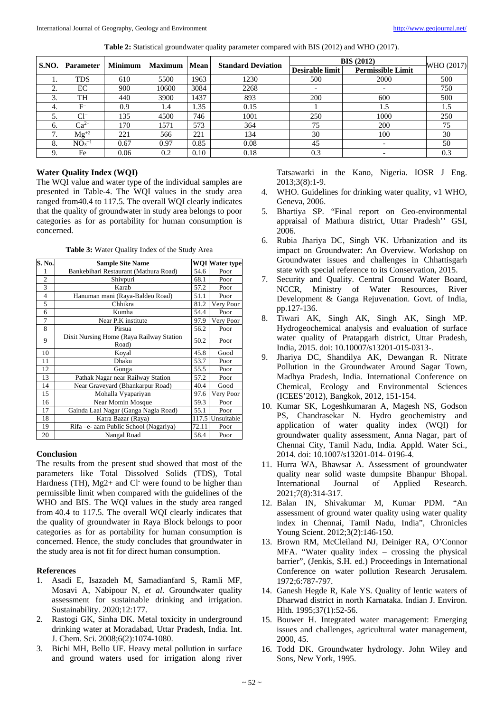| Table 2: Statistical groundwater quality parameter compared with BIS (2012) and WHO (2017). |  |  |  |  |  |
|---------------------------------------------------------------------------------------------|--|--|--|--|--|
|---------------------------------------------------------------------------------------------|--|--|--|--|--|

| S.NO. | <b>Parameter</b> | <b>Minimum</b> | <b>Maximum</b> | Mean | <b>Standard Deviation</b> | <b>BIS (2012)</b>        |                          | WHO (2017) |  |
|-------|------------------|----------------|----------------|------|---------------------------|--------------------------|--------------------------|------------|--|
|       |                  |                |                |      |                           | Desirable limit          | <b>Permissible Limit</b> |            |  |
|       | <b>TDS</b>       | 610            | 5500           | 1963 | 1230                      | 500                      | 2000                     | 500        |  |
| ◠     | EС               | 900            | 10600          | 3084 | 2268                      | $\overline{\phantom{a}}$ |                          | 750        |  |
| 3.    | TH               | 440            | 3900           | 1437 | 893                       | 200                      | 600                      | 500        |  |
| 4.    |                  | 0.9            | 1.4            | 1.35 | 0.15                      |                          | 1.5                      | 1.5        |  |
|       | $Cl^{-}$         | 135            | 4500           | 746  | 1001                      | 250                      | 1000                     | 250        |  |
| 6.    | $Ca^{2+}$        | 170            | 1571           | 573  | 364                       | 75                       | 200                      | 75         |  |
| ⇁     | $Mg^{+2}$        | 221            | 566            | 221  | 134                       | 30                       | 100                      | 30         |  |
| 8.    | NO <sub>3</sub>  | 0.67           | 0.97           | 0.85 | 0.08                      | 45                       |                          | 50         |  |
|       | Fe               | 0.06           | 0.2            | 0.10 | 0.18                      | 0.3                      |                          | 0.3        |  |

### **Water Quality Index (WQI)**

The WQI value and water type of the individual samples are presented in Table-4. The WQI values in the study area ranged from40.4 to 117.5. The overall WQI clearly indicates that the quality of groundwater in study area belongs to poor categories as for as portability for human consumption is concerned.

**Table 3:** Water Quality Index of the Study Area

| S. No.         | <b>Sample Site Name</b>                           |       | <b>WQI</b> Water type |
|----------------|---------------------------------------------------|-------|-----------------------|
|                | Bankebihari Restaurant (Mathura Road)             | 54.6  | Poor                  |
| $\overline{c}$ | Shivpuri                                          | 68.1  | Poor                  |
| 3              | Karab                                             | 57.2  | Poor                  |
| $\overline{4}$ | Hanuman mani (Raya-Baldeo Road)                   | 51.1  | Poor                  |
| 5              | Chhikra                                           | 81.2  | Very Poor             |
| 6              | Kumha                                             | 54.4  | Poor                  |
| 7              | Near P.K institute                                | 97.9  | Very Poor             |
| 8              | Pirsua                                            | 56.2  | Poor                  |
| 9              | Dixit Nursing Home (Raya Railway Station<br>Road) | 50.2  | Poor                  |
| 10             | Koval                                             | 45.8  | Good                  |
| 11             | Dhaku                                             | 53.7  | Poor                  |
| 12             | Gonga                                             | 55.5  | Poor                  |
| 13             | Pathak Nagar near Railway Station                 | 57.2  | Poor                  |
| 14             | Near Graveyard (Bhankarpur Road)                  | 40.4  | Good                  |
| 15             | Mohalla Vyapariyan                                | 97.6  | Very Poor             |
| 16             | Near Momin Mosque                                 | 59.3  | Poor                  |
| 17             | Gainda Laal Nagar (Ganga Nagla Road)              | 55.1  | Poor                  |
| 18             | Katra Bazar (Raya)                                | 117.5 | Unsuitable            |
| 19             | Rifa - e- aam Public School (Nagariya)            | 72.11 | Poor                  |
| 20             | Nangal Road                                       | 58.4  | Poor                  |

### **Conclusion**

The results from the present stud showed that most of the parameters like Total Dissolved Solids (TDS), Total Hardness (TH), Mg2+ and Cl<sup>-</sup> were found to be higher than permissible limit when compared with the guidelines of the WHO and BIS. The WQI values in the study area ranged from 40.4 to 117.5. The overall WQI clearly indicates that the quality of groundwater in Raya Block belongs to poor categories as for as portability for human consumption is concerned. Hence, the study concludes that groundwater in the study area is not fit for direct human consumption.

# **References**

- 1. Asadi E, Isazadeh M, Samadianfard S, Ramli MF, Mosavi A, Nabipour N, *et al*. Groundwater quality assessment for sustainable drinking and irrigation. Sustainability. 2020;12:177.
- 2. Rastogi GK, Sinha DK. Metal toxicity in underground drinking water at Moradabad, Uttar Pradesh, India. Int. J. Chem. Sci. 2008;6(2):1074-1080.
- 3. Bichi MH, Bello UF. Heavy metal pollution in surface and ground waters used for irrigation along river

Tatsawarki in the Kano, Nigeria. IOSR J Eng. 2013;3(8):1-9.

- 4. WHO. Guidelines for drinking water quality, v1 WHO, Geneva, 2006.
- 5. Bhartiya SP. "Final report on Geo-environmental appraisal of Mathura district, Uttar Pradesh'' GSI, 2006.
- 6. Rubia Jhariya DC, Singh VK. Urbanization and its impact on Groundwater: An Overview. Workshop on Groundwater issues and challenges in Chhattisgarh state with special reference to its Conservation, 2015.
- 7. Security and Quality. Central Ground Water Board, NCCR, Ministry of Water Resources, River Development & Ganga Rejuvenation. Govt. of India, pp.127-136.
- 8. Tiwari AK, Singh AK, Singh AK, Singh MP. Hydrogeochemical analysis and evaluation of surface water quality of Pratapgarh district, Uttar Pradesh, India, 2015. doi: 10.10007/s13201-015-0313-.
- 9. Jhariya DC, Shandilya AK, Dewangan R. Nitrate Pollution in the Groundwater Around Sagar Town, Madhya Pradesh, India. International Conference on Chemical, Ecology and Environmental Sciences (ICEES'2012), Bangkok, 2012, 151-154.
- 10. Kumar SK, Logeshkumaran A, Magesh NS, Godson PS, Chandrasekar N. Hydro geochemistry and application of water quality index (WQI) for groundwater quality assessment, Anna Nagar, part of Chennai City, Tamil Nadu, India. Appld. Water Sci., 2014. doi: 10.1007/s13201-014- 0196-4.
- 11. Hurra WA, Bhawsar A. Assessment of groundwater quality near solid waste dumpsite Bhanpur Bhopal. International Journal of Applied Research. 2021;7(8):314-317.
- 12. Balan IN, Shivakumar M, Kumar PDM. "An assessment of ground water quality using water quality index in Chennai, Tamil Nadu, India", Chronicles Young Scient. 2012;3(2):146-150.
- 13. Brown RM, McCleiland NJ, Deiniger RA, O'Connor MFA. "Water quality index – crossing the physical barrier", (Jenkis, S.H. ed.) Proceedings in International Conference on water pollution Research Jerusalem. 1972;6:787-797.
- 14. Ganesh Hegde R, Kale YS. Quality of lentic waters of Dharwad district in north Karnataka. Indian J. Environ. Hlth. 1995;37(1):52-56.
- 15. Bouwer H. Integrated water management: Emerging issues and challenges, agricultural water management, 2000, 45.
- 16. Todd DK. Groundwater hydrology. John Wiley and Sons, New York, 1995.